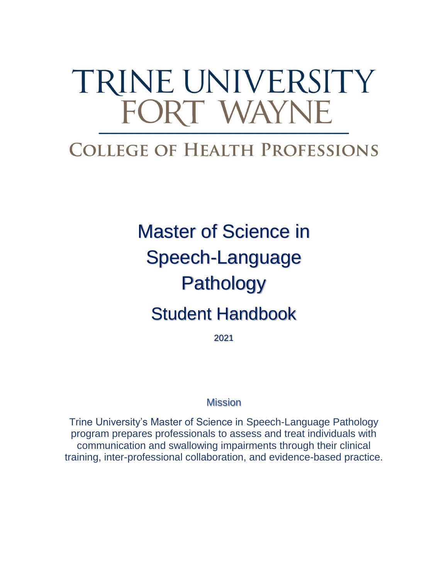# TRINE UNIVERSITY FORT WAYNE

# **COLLEGE OF HEALTH PROFESSIONS**

# Master of Science in Speech-Language Pathology Student Handbook

2021

# **Mission**

Trine University's Master of Science in Speech-Language Pathology program prepares professionals to assess and treat individuals with communication and swallowing impairments through their clinical training, inter-professional collaboration, and evidence-based practice.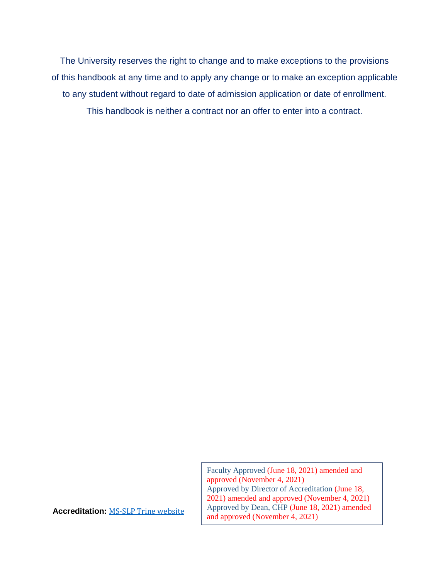The University reserves the right to change and to make exceptions to the provisions of this handbook at any time and to apply any change or to make an exception applicable to any student without regard to date of admission application or date of enrollment. This handbook is neither a contract nor an offer to enter into a contract.

> Faculty Approved (June 18, 2021) amended and approved (November 4, 2021) Approved by Director of Accreditation (June 18, 2021) amended and approved (November 4, 2021) Approved by Dean, CHP (June 18, 2021) amended and approved (November 4, 2021)

**Accreditation:** [MS-SLP Trine website](https://nam04.safelinks.protection.outlook.com/?url=https%3A%2F%2Fwww.trine.edu%2Facademics%2Fmajors-degrees%2Fgraduate%2Fmaster-speech-language-pathology%2Findex.aspx&data=04%7C01%7Clichtsinnc%40trine.edu%7Caa564ab5cecc4e99e01008d925d0bdf1%7C4fce493f17434d33bdec79e288863c19%7C0%7C0%7C637582400759090844%7CUnknown%7CTWFpbGZsb3d8eyJWIjoiMC4wLjAwMDAiLCJQIjoiV2luMzIiLCJBTiI6Ik1haWwiLCJXVCI6Mn0%3D%7C1000&sdata=HaW%2FEvGJc9O91F%2F3Z0ANWgh0%2FNZ3bsptsnw4VJS63I4%3D&reserved=0)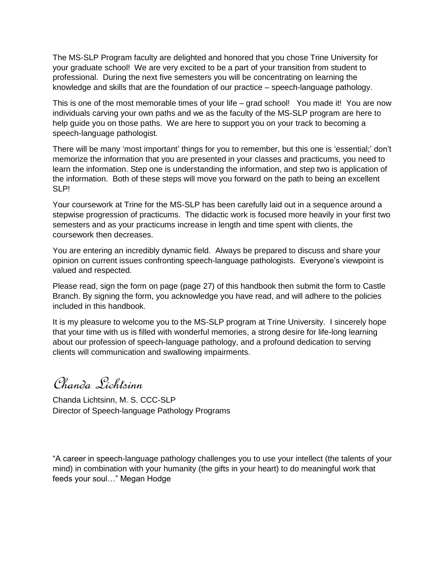The MS-SLP Program faculty are delighted and honored that you chose Trine University for your graduate school! We are very excited to be a part of your transition from student to professional. During the next five semesters you will be concentrating on learning the knowledge and skills that are the foundation of our practice – speech-language pathology.

This is one of the most memorable times of your life – grad school! You made it! You are now individuals carving your own paths and we as the faculty of the MS-SLP program are here to help guide you on those paths. We are here to support you on your track to becoming a speech-language pathologist.

There will be many 'most important' things for you to remember, but this one is 'essential;' don't memorize the information that you are presented in your classes and practicums, you need to learn the information. Step one is understanding the information, and step two is application of the information. Both of these steps will move you forward on the path to being an excellent SLP!

Your coursework at Trine for the MS-SLP has been carefully laid out in a sequence around a stepwise progression of practicums. The didactic work is focused more heavily in your first two semesters and as your practicums increase in length and time spent with clients, the coursework then decreases.

You are entering an incredibly dynamic field. Always be prepared to discuss and share your opinion on current issues confronting speech-language pathologists. Everyone's viewpoint is valued and respected.

Please read, sign the form on page (page 27) of this handbook then submit the form to Castle Branch. By signing the form, you acknowledge you have read, and will adhere to the policies included in this handbook.

It is my pleasure to welcome you to the MS-SLP program at Trine University. I sincerely hope that your time with us is filled with wonderful memories, a strong desire for life-long learning about our profession of speech-language pathology, and a profound dedication to serving clients will communication and swallowing impairments.

Chanda Lichtsinn

Chanda Lichtsinn, M. S. CCC-SLP Director of Speech-language Pathology Programs

"A career in speech-language pathology challenges you to use your intellect (the talents of your mind) in combination with your humanity (the gifts in your heart) to do meaningful work that feeds your soul…" Megan Hodge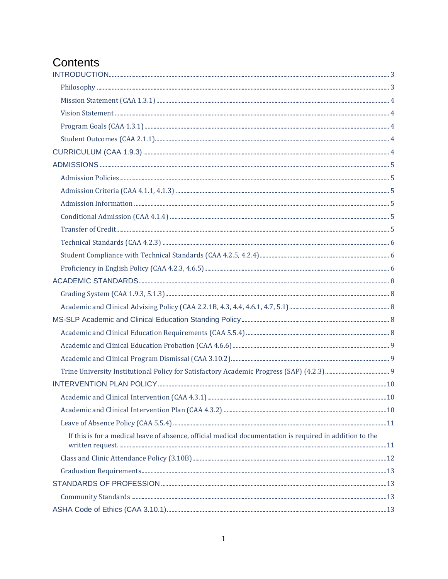# Contents

| If this is for a medical leave of absence, official medical documentation is required in addition to the |  |
|----------------------------------------------------------------------------------------------------------|--|
|                                                                                                          |  |
|                                                                                                          |  |
|                                                                                                          |  |
|                                                                                                          |  |
|                                                                                                          |  |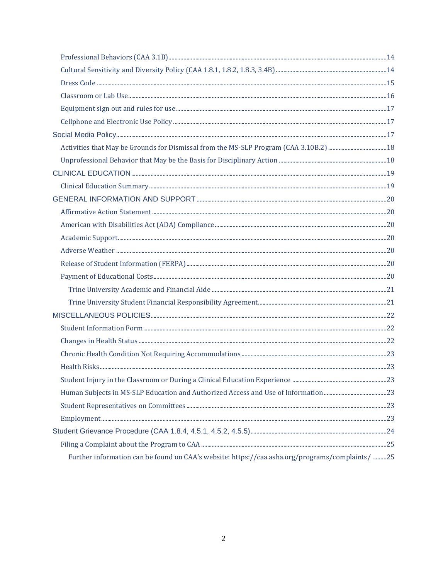| Further information can be found on CAA's website: https://caa.asha.org/programs/complaints/ 25 |  |
|-------------------------------------------------------------------------------------------------|--|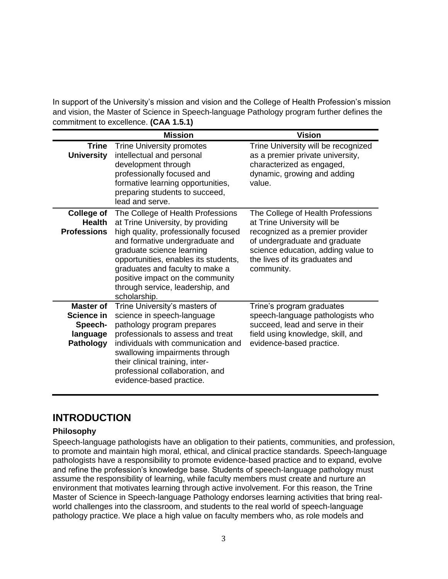In support of the University's mission and vision and the College of Health Profession's mission and vision, the Master of Science in Speech-language Pathology program further defines the commitment to excellence. **(CAA 1.5.1)**

|                                                                    | <b>Mission</b>                                                                                                                                                                                                                                                                                                                                    | <b>Vision</b>                                                                                                                                                                                                               |
|--------------------------------------------------------------------|---------------------------------------------------------------------------------------------------------------------------------------------------------------------------------------------------------------------------------------------------------------------------------------------------------------------------------------------------|-----------------------------------------------------------------------------------------------------------------------------------------------------------------------------------------------------------------------------|
| Trine<br><b>University</b>                                         | <b>Trine University promotes</b><br>intellectual and personal<br>development through<br>professionally focused and<br>formative learning opportunities,<br>preparing students to succeed,<br>lead and serve.                                                                                                                                      | Trine University will be recognized<br>as a premier private university,<br>characterized as engaged,<br>dynamic, growing and adding<br>value.                                                                               |
| <b>College of</b><br>Health<br><b>Professions</b>                  | The College of Health Professions<br>at Trine University, by providing<br>high quality, professionally focused<br>and formative undergraduate and<br>graduate science learning<br>opportunities, enables its students,<br>graduates and faculty to make a<br>positive impact on the community<br>through service, leadership, and<br>scholarship. | The College of Health Professions<br>at Trine University will be<br>recognized as a premier provider<br>of undergraduate and graduate<br>science education, adding value to<br>the lives of its graduates and<br>community. |
| Master of<br>Science in<br>Speech-<br>language<br><b>Pathology</b> | Trine University's masters of<br>science in speech-language<br>pathology program prepares<br>professionals to assess and treat<br>individuals with communication and<br>swallowing impairments through<br>their clinical training, inter-<br>professional collaboration, and<br>evidence-based practice.                                          | Trine's program graduates<br>speech-language pathologists who<br>succeed, lead and serve in their<br>field using knowledge, skill, and<br>evidence-based practice.                                                          |

# <span id="page-5-0"></span>**INTRODUCTION**

#### <span id="page-5-1"></span>**Philosophy**

Speech-language pathologists have an obligation to their patients, communities, and profession, to promote and maintain high moral, ethical, and clinical practice standards. Speech-language pathologists have a responsibility to promote evidence-based practice and to expand, evolve and refine the profession's knowledge base. Students of speech-language pathology must assume the responsibility of learning, while faculty members must create and nurture an environment that motivates learning through active involvement. For this reason, the Trine Master of Science in Speech-language Pathology endorses learning activities that bring realworld challenges into the classroom, and students to the real world of speech-language pathology practice. We place a high value on faculty members who, as role models and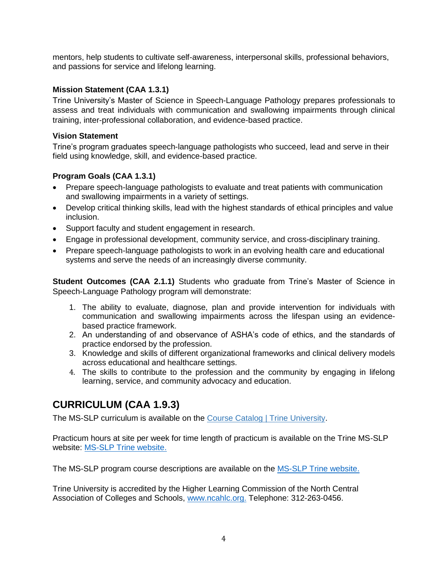mentors, help students to cultivate self-awareness, interpersonal skills, professional behaviors, and passions for service and lifelong learning.

#### <span id="page-6-0"></span>**Mission Statement (CAA 1.3.1)**

Trine University's Master of Science in Speech-Language Pathology prepares professionals to assess and treat individuals with communication and swallowing impairments through clinical training, inter-professional collaboration, and evidence-based practice.

#### <span id="page-6-1"></span>**Vision Statement**

Trine's program graduates speech-language pathologists who succeed, lead and serve in their field using knowledge, skill, and evidence-based practice.

#### <span id="page-6-2"></span>**Program Goals (CAA 1.3.1)**

- Prepare speech-language pathologists to evaluate and treat patients with communication and swallowing impairments in a variety of settings.
- Develop critical thinking skills, lead with the highest standards of ethical principles and value inclusion.
- Support faculty and student engagement in research.
- Engage in professional development, community service, and cross-disciplinary training.
- Prepare speech-language pathologists to work in an evolving health care and educational systems and serve the needs of an increasingly diverse community.

<span id="page-6-3"></span>**Student Outcomes (CAA 2.1.1)** Students who graduate from Trine's Master of Science in Speech-Language Pathology program will demonstrate:

- 1. The ability to evaluate, diagnose, plan and provide intervention for individuals with communication and swallowing impairments across the lifespan using an evidencebased practice framework.
- 2. An understanding of and observance of ASHA's code of ethics, and the standards of practice endorsed by the profession.
- 3. Knowledge and skills of different organizational frameworks and clinical delivery models across educational and healthcare settings.
- 4. The skills to contribute to the profession and the community by engaging in lifelong learning, service, and community advocacy and education.

# <span id="page-6-4"></span>**CURRICULUM (CAA 1.9.3)**

The MS-SLP curriculum is available on the [Course Catalog | Trine University.](https://www.trine.edu/resources/registrar/course-catalog.aspx)

Practicum hours at site per week for time length of practicum is available on the Trine MS-SLP website: [MS-SLP Trine website.](https://nam04.safelinks.protection.outlook.com/?url=https%3A%2F%2Fwww.trine.edu%2Facademics%2Fmajors-degrees%2Fgraduate%2Fmaster-speech-language-pathology%2Findex.aspx&data=04%7C01%7Clichtsinnc%40trine.edu%7Caa564ab5cecc4e99e01008d925d0bdf1%7C4fce493f17434d33bdec79e288863c19%7C0%7C0%7C637582400759090844%7CUnknown%7CTWFpbGZsb3d8eyJWIjoiMC4wLjAwMDAiLCJQIjoiV2luMzIiLCJBTiI6Ik1haWwiLCJXVCI6Mn0%3D%7C1000&sdata=HaW%2FEvGJc9O91F%2F3Z0ANWgh0%2FNZ3bsptsnw4VJS63I4%3D&reserved=0)

The MS-SLP program course descriptions are available on the [MS-SLP Trine website.](https://nam04.safelinks.protection.outlook.com/?url=https%3A%2F%2Fwww.trine.edu%2Facademics%2Fmajors-degrees%2Fgraduate%2Fmaster-speech-language-pathology%2Findex.aspx&data=04%7C01%7Clichtsinnc%40trine.edu%7Caa564ab5cecc4e99e01008d925d0bdf1%7C4fce493f17434d33bdec79e288863c19%7C0%7C0%7C637582400759090844%7CUnknown%7CTWFpbGZsb3d8eyJWIjoiMC4wLjAwMDAiLCJQIjoiV2luMzIiLCJBTiI6Ik1haWwiLCJXVCI6Mn0%3D%7C1000&sdata=HaW%2FEvGJc9O91F%2F3Z0ANWgh0%2FNZ3bsptsnw4VJS63I4%3D&reserved=0)

Trine University is accredited by the Higher Learning Commission of the North Central Association of Colleges and Schools, [www.ncahlc.org.](http://www.ncahigherlearningcommission.org/) Telephone: 312-263-0456.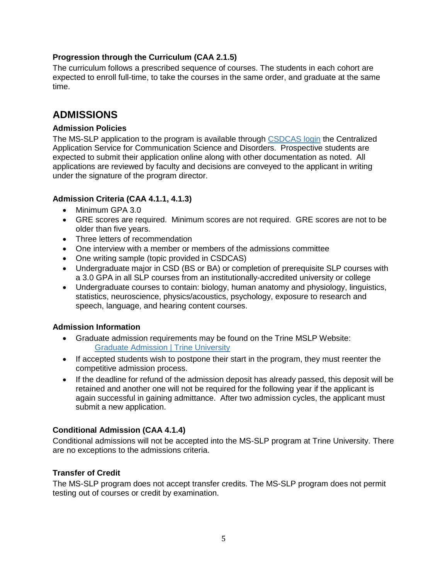#### **Progression through the Curriculum (CAA 2.1.5)**

The curriculum follows a prescribed sequence of courses. The students in each cohort are expected to enroll full-time, to take the courses in the same order, and graduate at the same time.

### <span id="page-7-0"></span>**ADMISSIONS**

#### <span id="page-7-1"></span>**Admission Policies**

The MS-SLP application to the program is available through [CSDCAS login](https://csdcas.liaisoncas.com/applicant-ux/#/login) the Centralized Application Service for Communication Science and Disorders. Prospective students are expected to submit their application online along with other documentation as noted. All applications are reviewed by faculty and decisions are conveyed to the applicant in writing under the signature of the program director.

#### <span id="page-7-2"></span>**Admission Criteria (CAA 4.1.1, 4.1.3)**

- Minimum GPA 3.0
- GRE scores are required. Minimum scores are not required. GRE scores are not to be older than five years.
- Three letters of recommendation
- One interview with a member or members of the admissions committee
- One writing sample (topic provided in CSDCAS)
- Undergraduate major in CSD (BS or BA) or completion of prerequisite SLP courses with a 3.0 GPA in all SLP courses from an institutionally-accredited university or college
- Undergraduate courses to contain: biology, human anatomy and physiology, linguistics, statistics, neuroscience, physics/acoustics, psychology, exposure to research and speech, language, and hearing content courses.

#### <span id="page-7-3"></span>**Admission Information**

- Graduate admission requirements may be found on the Trine MSLP Website: [Graduate Admission | Trine University](https://www.trine.edu/admission-aid/graduate-admission.aspx)
- If accepted students wish to postpone their start in the program, they must reenter the competitive admission process.
- If the deadline for refund of the admission deposit has already passed, this deposit will be retained and another one will not be required for the following year if the applicant is again successful in gaining admittance. After two admission cycles, the applicant must submit a new application.

#### <span id="page-7-4"></span>**Conditional Admission (CAA 4.1.4)**

Conditional admissions will not be accepted into the MS-SLP program at Trine University. There are no exceptions to the admissions criteria.

#### <span id="page-7-5"></span>**Transfer of Credit**

The MS-SLP program does not accept transfer credits. The MS-SLP program does not permit testing out of courses or credit by examination.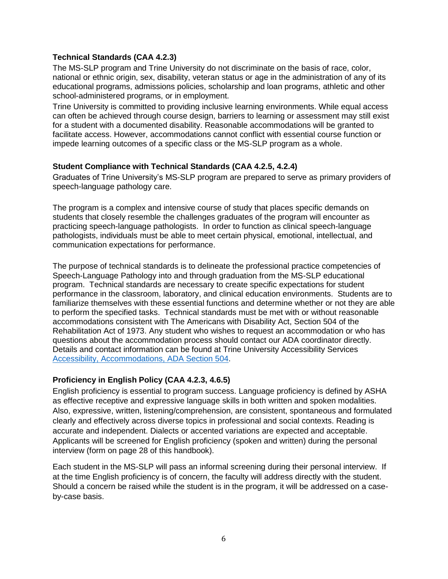#### <span id="page-8-0"></span>**Technical Standards (CAA 4.2.3)**

The MS-SLP program and Trine University do not discriminate on the basis of race, color, national or ethnic origin, sex, disability, veteran status or age in the administration of any of its educational programs, admissions policies, scholarship and loan programs, athletic and other school-administered programs, or in employment.

Trine University is committed to providing inclusive learning environments. While equal access can often be achieved through course design, barriers to learning or assessment may still exist for a student with a documented disability. Reasonable accommodations will be granted to facilitate access. However, accommodations cannot conflict with essential course function or impede learning outcomes of a specific class or the MS-SLP program as a whole.

#### <span id="page-8-1"></span>**Student Compliance with Technical Standards (CAA 4.2.5, 4.2.4)**

Graduates of Trine University's MS-SLP program are prepared to serve as primary providers of speech-language pathology care.

The program is a complex and intensive course of study that places specific demands on students that closely resemble the challenges graduates of the program will encounter as practicing speech-language pathologists. In order to function as clinical speech-language pathologists, individuals must be able to meet certain physical, emotional, intellectual, and communication expectations for performance.

The purpose of technical standards is to delineate the professional practice competencies of Speech-Language Pathology into and through graduation from the MS-SLP educational program. Technical standards are necessary to create specific expectations for student performance in the classroom, laboratory, and clinical education environments. Students are to familiarize themselves with these essential functions and determine whether or not they are able to perform the specified tasks. Technical standards must be met with or without reasonable accommodations consistent with The Americans with Disability Act, Section 504 of the Rehabilitation Act of 1973. Any student who wishes to request an accommodation or who has questions about the accommodation process should contact our ADA coordinator directly. Details and contact information can be found at Trine University Accessibility Services [Accessibility, Accommodations, ADA Section 504.](https://www.trine.edu/academics/success/disability-accommodations.aspx)

#### **Proficiency in English Policy (CAA 4.2.3, 4.6.5)**

English proficiency is essential to program success. Language proficiency is defined by ASHA as effective receptive and expressive language skills in both written and spoken modalities. Also, expressive, written, listening/comprehension, are consistent, spontaneous and formulated clearly and effectively across diverse topics in professional and social contexts. Reading is accurate and independent. Dialects or accented variations are expected and acceptable. Applicants will be screened for English proficiency (spoken and written) during the personal interview (form on page 28 of this handbook).

Each student in the MS-SLP will pass an informal screening during their personal interview. If at the time English proficiency is of concern, the faculty will address directly with the student. Should a concern be raised while the student is in the program, it will be addressed on a caseby-case basis.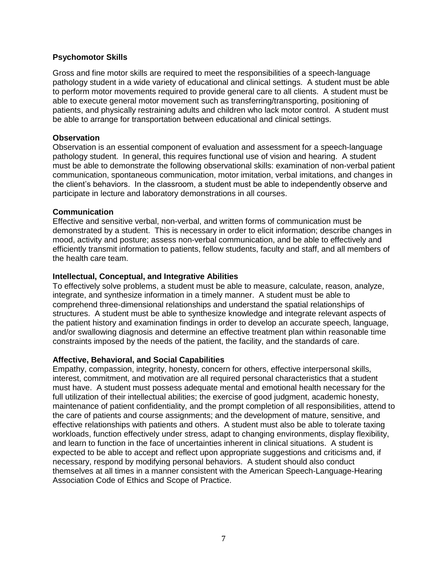#### **Psychomotor Skills**

Gross and fine motor skills are required to meet the responsibilities of a speech-language pathology student in a wide variety of educational and clinical settings. A student must be able to perform motor movements required to provide general care to all clients. A student must be able to execute general motor movement such as transferring/transporting, positioning of patients, and physically restraining adults and children who lack motor control. A student must be able to arrange for transportation between educational and clinical settings.

#### **Observation**

Observation is an essential component of evaluation and assessment for a speech-language pathology student. In general, this requires functional use of vision and hearing. A student must be able to demonstrate the following observational skills: examination of non-verbal patient communication, spontaneous communication, motor imitation, verbal imitations, and changes in the client's behaviors. In the classroom, a student must be able to independently observe and participate in lecture and laboratory demonstrations in all courses.

#### **Communication**

Effective and sensitive verbal, non-verbal, and written forms of communication must be demonstrated by a student. This is necessary in order to elicit information; describe changes in mood, activity and posture; assess non-verbal communication, and be able to effectively and efficiently transmit information to patients, fellow students, faculty and staff, and all members of the health care team.

#### **Intellectual, Conceptual, and Integrative Abilities**

To effectively solve problems, a student must be able to measure, calculate, reason, analyze, integrate, and synthesize information in a timely manner. A student must be able to comprehend three-dimensional relationships and understand the spatial relationships of structures. A student must be able to synthesize knowledge and integrate relevant aspects of the patient history and examination findings in order to develop an accurate speech, language, and/or swallowing diagnosis and determine an effective treatment plan within reasonable time constraints imposed by the needs of the patient, the facility, and the standards of care.

#### **Affective, Behavioral, and Social Capabilities**

Empathy, compassion, integrity, honesty, concern for others, effective interpersonal skills, interest, commitment, and motivation are all required personal characteristics that a student must have. A student must possess adequate mental and emotional health necessary for the full utilization of their intellectual abilities; the exercise of good judgment, academic honesty, maintenance of patient confidentiality, and the prompt completion of all responsibilities, attend to the care of patients and course assignments; and the development of mature, sensitive, and effective relationships with patients and others. A student must also be able to tolerate taxing workloads, function effectively under stress, adapt to changing environments, display flexibility, and learn to function in the face of uncertainties inherent in clinical situations. A student is expected to be able to accept and reflect upon appropriate suggestions and criticisms and, if necessary, respond by modifying personal behaviors. A student should also conduct themselves at all times in a manner consistent with the American Speech-Language-Hearing Association Code of Ethics and Scope of Practice.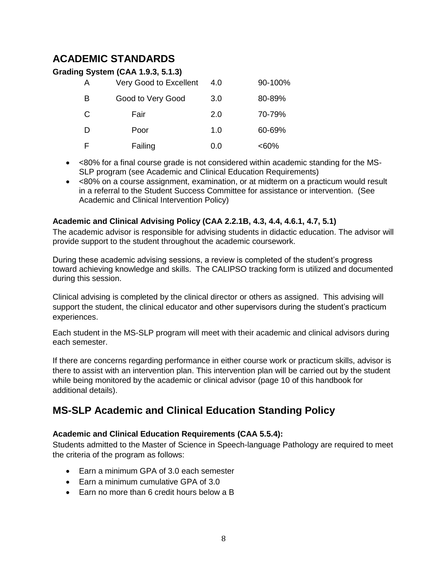# <span id="page-10-0"></span>**ACADEMIC STANDARDS**

<span id="page-10-1"></span>

|   | <b>Grading System (CAA 1.9.3, 5.1.3)</b> |     |         |
|---|------------------------------------------|-----|---------|
| A | Very Good to Excellent                   | 4.0 | 90-100% |
| в | Good to Very Good                        | 3.0 | 80-89%  |
| C | Fair                                     | 2.0 | 70-79%  |
| D | Poor                                     | 1.0 | 60-69%  |
| F | Failing                                  | 0.0 | $<60\%$ |

- <80% for a final course grade is not considered within academic standing for the MS-SLP program (see Academic and Clinical Education Requirements)
- <80% on a course assignment, examination, or at midterm on a practicum would result in a referral to the Student Success Committee for assistance or intervention. (See Academic and Clinical Intervention Policy)

#### <span id="page-10-2"></span>**Academic and Clinical Advising Policy (CAA 2.2.1B, 4.3, 4.4, 4.6.1, 4.7, 5.1)**

The academic advisor is responsible for advising students in didactic education. The advisor will provide support to the student throughout the academic coursework.

During these academic advising sessions, a review is completed of the student's progress toward achieving knowledge and skills. The CALIPSO tracking form is utilized and documented during this session.

Clinical advising is completed by the clinical director or others as assigned. This advising will support the student, the clinical educator and other supervisors during the student's practicum experiences.

Each student in the MS-SLP program will meet with their academic and clinical advisors during each semester.

If there are concerns regarding performance in either course work or practicum skills, advisor is there to assist with an intervention plan. This intervention plan will be carried out by the student while being monitored by the academic or clinical advisor (page 10 of this handbook for additional details).

# <span id="page-10-3"></span>**MS-SLP Academic and Clinical Education Standing Policy**

#### <span id="page-10-4"></span>**Academic and Clinical Education Requirements (CAA 5.5.4):**

Students admitted to the Master of Science in Speech-language Pathology are required to meet the criteria of the program as follows:

- Earn a minimum GPA of 3.0 each semester
- Earn a minimum cumulative GPA of 3.0
- <span id="page-10-5"></span>• Earn no more than 6 credit hours below a B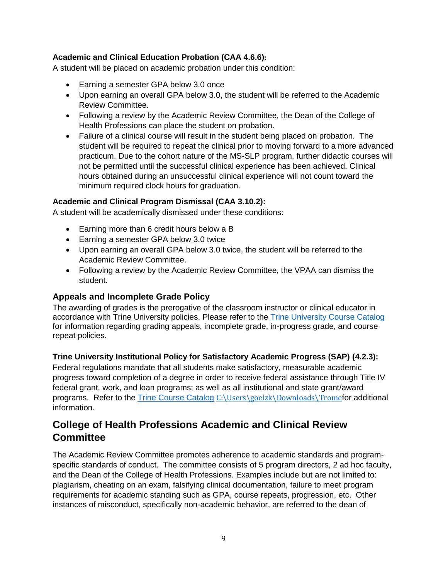#### **Academic and Clinical Education Probation (CAA 4.6.6):**

A student will be placed on academic probation under this condition:

- Earning a semester GPA below 3.0 once
- Upon earning an overall GPA below 3.0, the student will be referred to the Academic Review Committee.
- Following a review by the Academic Review Committee, the Dean of the College of Health Professions can place the student on probation.
- Failure of a clinical course will result in the student being placed on probation. The student will be required to repeat the clinical prior to moving forward to a more advanced practicum. Due to the cohort nature of the MS-SLP program, further didactic courses will not be permitted until the successful clinical experience has been achieved. Clinical hours obtained during an unsuccessful clinical experience will not count toward the minimum required clock hours for graduation.

#### **Academic and Clinical Program Dismissal (CAA 3.10.2):**

A student will be academically dismissed under these conditions:

- Earning more than 6 credit hours below a B
- Earning a semester GPA below 3.0 twice
- Upon earning an overall GPA below 3.0 twice, the student will be referred to the Academic Review Committee.
- Following a review by the Academic Review Committee, the VPAA can dismiss the student.

#### **Appeals and Incomplete Grade Policy**

The awarding of grades is the prerogative of the classroom instructor or clinical educator in accordance with Trine University policies. Please refer to the [Trine University Course Catalog](https://trine.edu/resources/registrar/course-catalog.aspx) for information regarding grading appeals, incomplete grade, in-progress grade, and course repeat policies.

#### <span id="page-11-0"></span>**Trine University Institutional Policy for Satisfactory Academic Progress (SAP) (4.2.3):**

Federal regulations mandate that all students make satisfactory, measurable academic progress toward completion of a degree in order to receive federal assistance through Title IV federal grant, work, and loan programs; as well as all institutional and state grant/award programs. Refer to the [Trine Course Catalog](https://trine.edu/resources/registrar/course-catalog.aspx) [C:\Users\goelzk\Downloads\Trome](file:///C:/Users/goelzk/Downloads/Trome)for additional information.

# **College of Health Professions Academic and Clinical Review Committee**

The Academic Review Committee promotes adherence to academic standards and programspecific standards of conduct. The committee consists of 5 program directors, 2 ad hoc faculty, and the Dean of the College of Health Professions. Examples include but are not limited to: plagiarism, cheating on an exam, falsifying clinical documentation, failure to meet program requirements for academic standing such as GPA, course repeats, progression, etc. Other instances of misconduct, specifically non-academic behavior, are referred to the dean of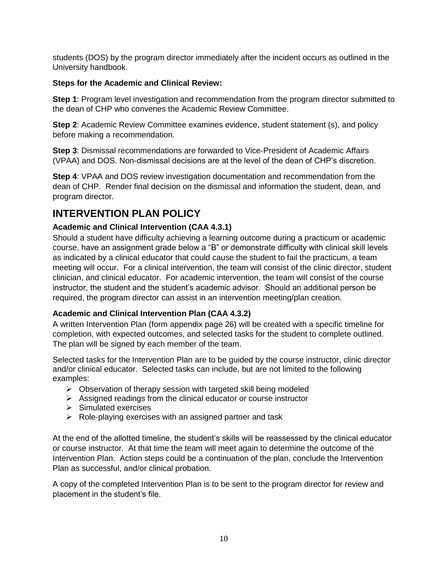students (DOS) by the program director immediately after the incident occurs as outlined in the University handbook.

#### **Steps for the Academic and Clinical Review:**

**Step 1**: Program level investigation and recommendation from the program director submitted to the dean of CHP who convenes the Academic Review Committee.

**Step 2**: Academic Review Committee examines evidence, student statement (s), and policy before making a recommendation.

**Step 3**: Dismissal recommendations are forwarded to Vice-President of Academic Affairs (VPAA) and DOS. Non-dismissal decisions are at the level of the dean of CHP's discretion.

**Step 4**: VPAA and DOS review investigation documentation and recommendation from the dean of CHP. Render final decision on the dismissal and information the student, dean, and program director.

# <span id="page-12-0"></span>**INTERVENTION PLAN POLICY**

#### <span id="page-12-1"></span>**Academic and Clinical Intervention (CAA 4.3.1)**

Should a student have difficulty achieving a learning outcome during a practicum or academic course, have an assignment grade below a "B" or demonstrate difficulty with clinical skill levels as indicated by a clinical educator that could cause the student to fail the practicum, a team meeting will occur. For a clinical intervention, the team will consist of the clinic director, student clinician, and clinical educator. For academic intervention, the team will consist of the course instructor, the student and the student's academic advisor. Should an additional person be required, the program director can assist in an intervention meeting/plan creation.

#### <span id="page-12-2"></span>**Academic and Clinical Intervention Plan (CAA 4.3.2)**

A written Intervention Plan (form appendix page 26) will be created with a specific timeline for completion, with expected outcomes, and selected tasks for the student to complete outlined. The plan will be signed by each member of the team.

Selected tasks for the Intervention Plan are to be guided by the course instructor, clinic director and/or clinical educator. Selected tasks can include, but are not limited to the following examples:

- ➢ Observation of therapy session with targeted skill being modeled
- ➢ Assigned readings from the clinical educator or course instructor
- ➢ Simulated exercises
- $\triangleright$  Role-playing exercises with an assigned partner and task

At the end of the allotted timeline, the student's skills will be reassessed by the clinical educator or course instructor. At that time the team will meet again to determine the outcome of the Intervention Plan. Action steps could be a continuation of the plan, conclude the Intervention Plan as successful, and/or clinical probation.

A copy of the completed Intervention Plan is to be sent to the program director for review and placement in the student's file.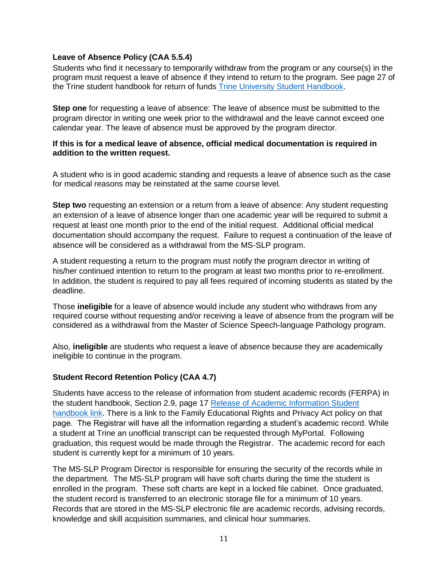#### <span id="page-13-0"></span>**Leave of Absence Policy (CAA 5.5.4)**

Students who find it necessary to temporarily withdraw from the program or any course(s) in the program must request a leave of absence if they intend to return to the program. See page 27 of the Trine student handbook for return of funds [Trine University Student Handbook.](https://trine.edu/campus-life/documents/trinestudenthandbook_2021.pdf)

**Step one** for requesting a leave of absence: The leave of absence must be submitted to the program director in writing one week prior to the withdrawal and the leave cannot exceed one calendar year. The leave of absence must be approved by the program director.

#### <span id="page-13-1"></span>**If this is for a medical leave of absence, official medical documentation is required in addition to the written request.**

A student who is in good academic standing and requests a leave of absence such as the case for medical reasons may be reinstated at the same course level.

**Step two** requesting an extension or a return from a leave of absence: Any student requesting an extension of a leave of absence longer than one academic year will be required to submit a request at least one month prior to the end of the initial request. Additional official medical documentation should accompany the request. Failure to request a continuation of the leave of absence will be considered as a withdrawal from the MS-SLP program.

A student requesting a return to the program must notify the program director in writing of his/her continued intention to return to the program at least two months prior to re-enrollment. In addition, the student is required to pay all fees required of incoming students as stated by the deadline.

Those **ineligible** for a leave of absence would include any student who withdraws from any required course without requesting and/or receiving a leave of absence from the program will be considered as a withdrawal from the Master of Science Speech-language Pathology program.

Also, **ineligible** are students who request a leave of absence because they are academically ineligible to continue in the program.

#### **Student Record Retention Policy (CAA 4.7)**

Students have access to the release of information from student academic records (FERPA) in the student handbook, Section 2.9, page 17 [Release of Academic Information Student](https://trine.edu/campus-life/documents/trinestudenthandbook_2021_2.pdf)  [handbook link.](https://trine.edu/campus-life/documents/trinestudenthandbook_2021_2.pdf) There is a link to the Family Educational Rights and Privacy Act policy on that page. The Registrar will have all the information regarding a student's academic record. While a student at Trine an unofficial transcript can be requested through MyPortal. Following graduation, this request would be made through the Registrar. The academic record for each student is currently kept for a minimum of 10 years.

The MS-SLP Program Director is responsible for ensuring the security of the records while in the department. The MS-SLP program will have soft charts during the time the student is enrolled in the program. These soft charts are kept in a locked file cabinet. Once graduated, the student record is transferred to an electronic storage file for a minimum of 10 years. Records that are stored in the MS-SLP electronic file are academic records, advising records, knowledge and skill acquisition summaries, and clinical hour summaries.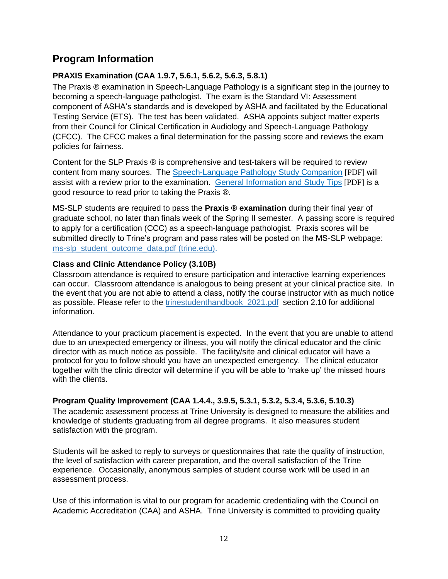# **Program Information**

#### **PRAXIS Examination (CAA 1.9.7, 5.6.1, 5.6.2, 5.6.3, 5.8.1)**

The Praxis ® examination in Speech-Language Pathology is a significant step in the journey to becoming a speech-language pathologist. The exam is the Standard VI: Assessment component of ASHA's standards and is developed by ASHA and facilitated by the Educational Testing Service (ETS). The test has been validated. ASHA appoints subject matter experts from their Council for Clinical Certification in Audiology and Speech-Language Pathology (CFCC). The CFCC makes a final determination for the passing score and reviews the exam policies for fairness.

Content for the SLP Praxis ® is comprehensive and test-takers will be required to review content from many sources. The [Speech-Language Pathology Study Companion](http://www.ets.org/s/praxis/pdf/5331.pdf) [PDF] will assist with a review prior to the examination. [General Information and Study Tips](http://www.ets.org/s/praxis/pdf/praxisII_gen_info_study_tips.pdf) [PDF] is a good resource to read prior to taking the Praxis ®.

MS-SLP students are required to pass the **Praxis ® examination** during their final year of graduate school, no later than finals week of the Spring II semester. A passing score is required to apply for a certification (CCC) as a speech-language pathologist. Praxis scores will be submitted directly to Trine's program and pass rates will be posted on the MS-SLP webpage: [ms-slp\\_student\\_outcome\\_data.pdf \(trine.edu\).](https://www.trine.edu/academics/majors-degrees/graduate/master-speech-language-pathology/documents/ms-slp_student_outcome_data.pdf)

#### <span id="page-14-0"></span>**Class and Clinic Attendance Policy (3.10B)**

Classroom attendance is required to ensure participation and interactive learning experiences can occur. Classroom attendance is analogous to being present at your clinical practice site. In the event that you are not able to attend a class, notify the course instructor with as much notice as possible. Please refer to the [trinestudenthandbook\\_2021.pdf](https://www.trine.edu/campus-life/documents/trinestudenthandbook_2021.pdf) section 2.10 for additional information.

Attendance to your practicum placement is expected. In the event that you are unable to attend due to an unexpected emergency or illness, you will notify the clinical educator and the clinic director with as much notice as possible. The facility/site and clinical educator will have a protocol for you to follow should you have an unexpected emergency. The clinical educator together with the clinic director will determine if you will be able to 'make up' the missed hours with the clients.

#### **Program Quality Improvement (CAA 1.4.4., 3.9.5, 5.3.1, 5.3.2, 5.3.4, 5.3.6, 5.10.3)**

The academic assessment process at Trine University is designed to measure the abilities and knowledge of students graduating from all degree programs. It also measures student satisfaction with the program.

Students will be asked to reply to surveys or questionnaires that rate the quality of instruction, the level of satisfaction with career preparation, and the overall satisfaction of the Trine experience. Occasionally, anonymous samples of student course work will be used in an assessment process.

Use of this information is vital to our program for academic credentialing with the Council on Academic Accreditation (CAA) and ASHA. Trine University is committed to providing quality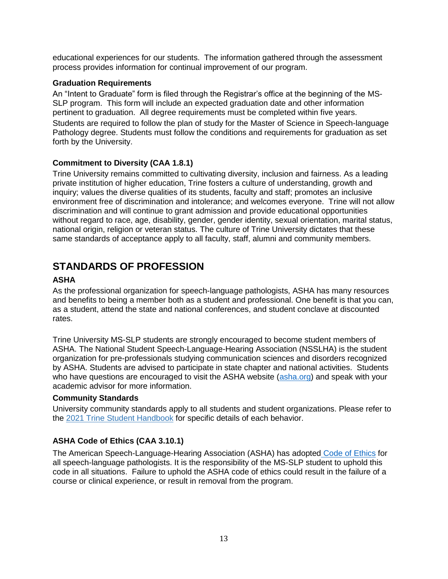educational experiences for our students. The information gathered through the assessment process provides information for continual improvement of our program.

#### <span id="page-15-0"></span>**Graduation Requirements**

An "Intent to Graduate" form is filed through the Registrar's office at the beginning of the MS-SLP program. This form will include an expected graduation date and other information pertinent to graduation. All degree requirements must be completed within five years. Students are required to follow the plan of study for the Master of Science in Speech-language Pathology degree. Students must follow the conditions and requirements for graduation as set forth by the University.

#### **Commitment to Diversity (CAA 1.8.1)**

Trine University remains committed to cultivating diversity, inclusion and fairness. As a leading private institution of higher education, Trine fosters a culture of understanding, growth and inquiry; values the diverse qualities of its students, faculty and staff; promotes an inclusive environment free of discrimination and intolerance; and welcomes everyone. Trine will not allow discrimination and will continue to grant admission and provide educational opportunities without regard to race, age, disability, gender, gender identity, sexual orientation, marital status, national origin, religion or veteran status. The culture of Trine University dictates that these same standards of acceptance apply to all faculty, staff, alumni and community members.

# <span id="page-15-1"></span>**STANDARDS OF PROFESSION**

#### **ASHA**

As the professional organization for speech-language pathologists, ASHA has many resources and benefits to being a member both as a student and professional. One benefit is that you can, as a student, attend the state and national conferences, and student conclave at discounted rates.

Trine University MS-SLP students are strongly encouraged to become student members of ASHA. The National Student Speech-Language-Hearing Association (NSSLHA) is the student organization for pre-professionals studying communication sciences and disorders recognized by ASHA. Students are advised to participate in state chapter and national activities. Students who have questions are encouraged to visit the ASHA website [\(asha.org\)](https://www.asha.org/) and speak with your academic advisor for more information.

#### <span id="page-15-2"></span>**Community Standards**

University community standards apply to all students and student organizations. Please refer to the [2021 Trine Student Handbook](https://www.trine.edu/campus-life/documents/revised-2020-2021-student-handbook_1-2021.pdf) for specific details of each behavior.

#### <span id="page-15-3"></span>**ASHA Code of Ethics (CAA 3.10.1)**

The American Speech-Language-Hearing Association (ASHA) has adopted [Code of Ethics](https://www.asha.org/code-of-ethics/#:~:text=The%20ASHA%20Code%20of%20Ethics,making%20related%20to%20professional%20conduct) for all speech-language pathologists. It is the responsibility of the MS-SLP student to uphold this code in all situations. Failure to uphold the ASHA code of ethics could result in the failure of a course or clinical experience, or result in removal from the program.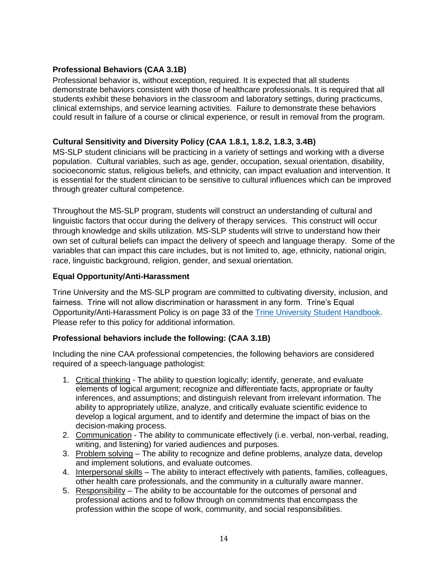#### <span id="page-16-0"></span>**Professional Behaviors (CAA 3.1B)**

Professional behavior is, without exception, required. It is expected that all students demonstrate behaviors consistent with those of healthcare professionals. It is required that all students exhibit these behaviors in the classroom and laboratory settings, during practicums, clinical externships, and service learning activities. Failure to demonstrate these behaviors could result in failure of a course or clinical experience, or result in removal from the program.

#### <span id="page-16-1"></span>**Cultural Sensitivity and Diversity Policy (CAA 1.8.1, 1.8.2, 1.8.3, 3.4B)**

MS-SLP student clinicians will be practicing in a variety of settings and working with a diverse population. Cultural variables, such as age, gender, occupation, sexual orientation, disability, socioeconomic status, religious beliefs, and ethnicity, can impact evaluation and intervention. It is essential for the student clinician to be sensitive to cultural influences which can be improved through greater cultural competence.

Throughout the MS-SLP program, students will construct an understanding of cultural and linguistic factors that occur during the delivery of therapy services. This construct will occur through knowledge and skills utilization. MS-SLP students will strive to understand how their own set of cultural beliefs can impact the delivery of speech and language therapy. Some of the variables that can impact this care includes, but is not limited to, age, ethnicity, national origin, race, linguistic background, religion, gender, and sexual orientation.

#### **Equal Opportunity/Anti-Harassment**

Trine University and the MS-SLP program are committed to cultivating diversity, inclusion, and fairness. Trine will not allow discrimination or harassment in any form. Trine's Equal Opportunity/Anti-Harassment Policy is on page 33 of the [Trine University Student Handbook.](https://trine.edu/campus-life/documents/trinestudenthandbook_2021.pdf) Please refer to this policy for additional information.

#### **Professional behaviors include the following: (CAA 3.1B)**

Including the nine CAA professional competencies, the following behaviors are considered required of a speech-language pathologist:

- 1. Critical thinking The ability to question logically; identify, generate, and evaluate elements of logical argument; recognize and differentiate facts, appropriate or faulty inferences, and assumptions; and distinguish relevant from irrelevant information. The ability to appropriately utilize, analyze, and critically evaluate scientific evidence to develop a logical argument, and to identify and determine the impact of bias on the decision-making process.
- 2. Communication The ability to communicate effectively (i.e. verbal, non-verbal, reading, writing, and listening) for varied audiences and purposes.
- 3. Problem solving The ability to recognize and define problems, analyze data, develop and implement solutions, and evaluate outcomes.
- 4. Interpersonal skills The ability to interact effectively with patients, families, colleagues, other health care professionals, and the community in a culturally aware manner.
- 5. Responsibility The ability to be accountable for the outcomes of personal and professional actions and to follow through on commitments that encompass the profession within the scope of work, community, and social responsibilities.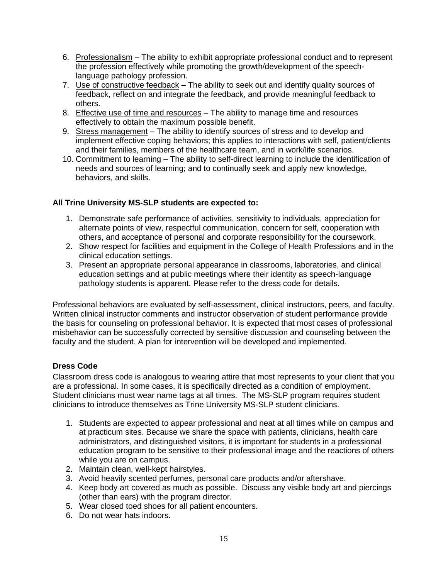- 6. Professionalism The ability to exhibit appropriate professional conduct and to represent the profession effectively while promoting the growth/development of the speechlanguage pathology profession.
- 7. Use of constructive feedback The ability to seek out and identify quality sources of feedback, reflect on and integrate the feedback, and provide meaningful feedback to others.
- 8. Effective use of time and resources The ability to manage time and resources effectively to obtain the maximum possible benefit.
- 9. Stress management The ability to identify sources of stress and to develop and implement effective coping behaviors; this applies to interactions with self, patient/clients and their families, members of the healthcare team, and in work/life scenarios.
- 10. Commitment to learning The ability to self-direct learning to include the identification of needs and sources of learning; and to continually seek and apply new knowledge, behaviors, and skills.

#### **All Trine University MS-SLP students are expected to:**

- 1. Demonstrate safe performance of activities, sensitivity to individuals, appreciation for alternate points of view, respectful communication, concern for self, cooperation with others, and acceptance of personal and corporate responsibility for the coursework.
- 2. Show respect for facilities and equipment in the College of Health Professions and in the clinical education settings.
- 3. Present an appropriate personal appearance in classrooms, laboratories, and clinical education settings and at public meetings where their identity as speech-language pathology students is apparent. Please refer to the dress code for details.

Professional behaviors are evaluated by self-assessment, clinical instructors, peers, and faculty. Written clinical instructor comments and instructor observation of student performance provide the basis for counseling on professional behavior. It is expected that most cases of professional misbehavior can be successfully corrected by sensitive discussion and counseling between the faculty and the student. A plan for intervention will be developed and implemented.

#### <span id="page-17-0"></span>**Dress Code**

Classroom dress code is analogous to wearing attire that most represents to your client that you are a professional. In some cases, it is specifically directed as a condition of employment. Student clinicians must wear name tags at all times. The MS-SLP program requires student clinicians to introduce themselves as Trine University MS-SLP student clinicians.

- 1. Students are expected to appear professional and neat at all times while on campus and at practicum sites. Because we share the space with patients, clinicians, health care administrators, and distinguished visitors, it is important for students in a professional education program to be sensitive to their professional image and the reactions of others while you are on campus.
- 2. Maintain clean, well-kept hairstyles.
- 3. Avoid heavily scented perfumes, personal care products and/or aftershave.
- 4. Keep body art covered as much as possible. Discuss any visible body art and piercings (other than ears) with the program director.
- 5. Wear closed toed shoes for all patient encounters.
- 6. Do not wear hats indoors.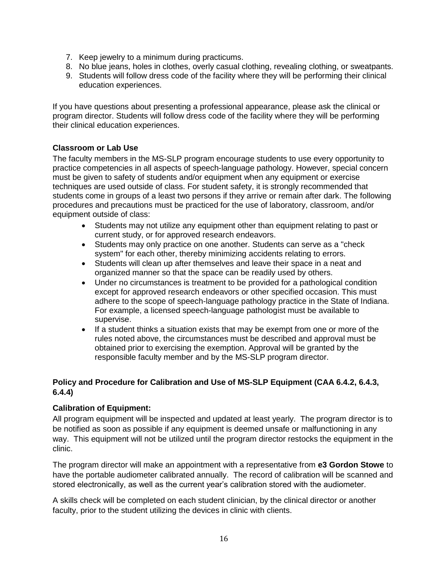- 7. Keep jewelry to a minimum during practicums.
- 8. No blue jeans, holes in clothes, overly casual clothing, revealing clothing, or sweatpants.
- 9. Students will follow dress code of the facility where they will be performing their clinical education experiences.

If you have questions about presenting a professional appearance, please ask the clinical or program director. Students will follow dress code of the facility where they will be performing their clinical education experiences.

#### <span id="page-18-0"></span>**Classroom or Lab Use**

The faculty members in the MS-SLP program encourage students to use every opportunity to practice competencies in all aspects of speech-language pathology. However, special concern must be given to safety of students and/or equipment when any equipment or exercise techniques are used outside of class. For student safety, it is strongly recommended that students come in groups of a least two persons if they arrive or remain after dark. The following procedures and precautions must be practiced for the use of laboratory, classroom, and/or equipment outside of class:

- Students may not utilize any equipment other than equipment relating to past or current study, or for approved research endeavors.
- Students may only practice on one another. Students can serve as a "check system" for each other, thereby minimizing accidents relating to errors.
- Students will clean up after themselves and leave their space in a neat and organized manner so that the space can be readily used by others.
- Under no circumstances is treatment to be provided for a pathological condition except for approved research endeavors or other specified occasion. This must adhere to the scope of speech-language pathology practice in the State of Indiana. For example, a licensed speech-language pathologist must be available to supervise.
- If a student thinks a situation exists that may be exempt from one or more of the rules noted above, the circumstances must be described and approval must be obtained prior to exercising the exemption. Approval will be granted by the responsible faculty member and by the MS-SLP program director.

#### **Policy and Procedure for Calibration and Use of MS-SLP Equipment (CAA 6.4.2, 6.4.3, 6.4.4)**

#### **Calibration of Equipment:**

All program equipment will be inspected and updated at least yearly. The program director is to be notified as soon as possible if any equipment is deemed unsafe or malfunctioning in any way. This equipment will not be utilized until the program director restocks the equipment in the clinic.

The program director will make an appointment with a representative from **e3 Gordon Stowe** to have the portable audiometer calibrated annually. The record of calibration will be scanned and stored electronically, as well as the current year's calibration stored with the audiometer.

A skills check will be completed on each student clinician, by the clinical director or another faculty, prior to the student utilizing the devices in clinic with clients.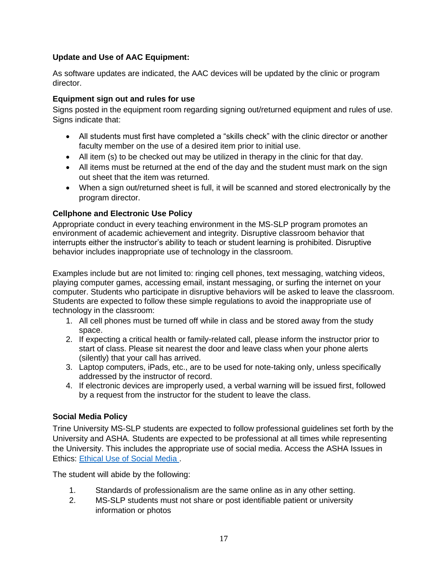#### **Update and Use of AAC Equipment:**

As software updates are indicated, the AAC devices will be updated by the clinic or program director.

#### <span id="page-19-0"></span>**Equipment sign out and rules for use**

Signs posted in the equipment room regarding signing out/returned equipment and rules of use. Signs indicate that:

- All students must first have completed a "skills check" with the clinic director or another faculty member on the use of a desired item prior to initial use.
- All item (s) to be checked out may be utilized in therapy in the clinic for that day.
- All items must be returned at the end of the day and the student must mark on the sign out sheet that the item was returned.
- When a sign out/returned sheet is full, it will be scanned and stored electronically by the program director.

#### <span id="page-19-1"></span>**Cellphone and Electronic Use Policy**

Appropriate conduct in every teaching environment in the MS-SLP program promotes an environment of academic achievement and integrity. Disruptive classroom behavior that interrupts either the instructor's ability to teach or student learning is prohibited. Disruptive behavior includes inappropriate use of technology in the classroom.

Examples include but are not limited to: ringing cell phones, text messaging, watching videos, playing computer games, accessing email, instant messaging, or surfing the internet on your computer. Students who participate in disruptive behaviors will be asked to leave the classroom. Students are expected to follow these simple regulations to avoid the inappropriate use of technology in the classroom:

- 1. All cell phones must be turned off while in class and be stored away from the study space.
- 2. If expecting a critical health or family-related call, please inform the instructor prior to start of class. Please sit nearest the door and leave class when your phone alerts (silently) that your call has arrived.
- 3. Laptop computers, iPads, etc., are to be used for note-taking only, unless specifically addressed by the instructor of record.
- 4. If electronic devices are improperly used, a verbal warning will be issued first, followed by a request from the instructor for the student to leave the class.

#### <span id="page-19-2"></span>**Social Media Policy**

Trine University MS-SLP students are expected to follow professional guidelines set forth by the University and ASHA. Students are expected to be professional at all times while representing the University. This includes the appropriate use of social media. Access the ASHA Issues in Ethics: [Ethical Use of Social Media .](https://www.asha.org/practice/ethics/ethical-use-of-social-media/)

The student will abide by the following:

- 1. Standards of professionalism are the same online as in any other setting.
- 2. MS-SLP students must not share or post identifiable patient or university information or photos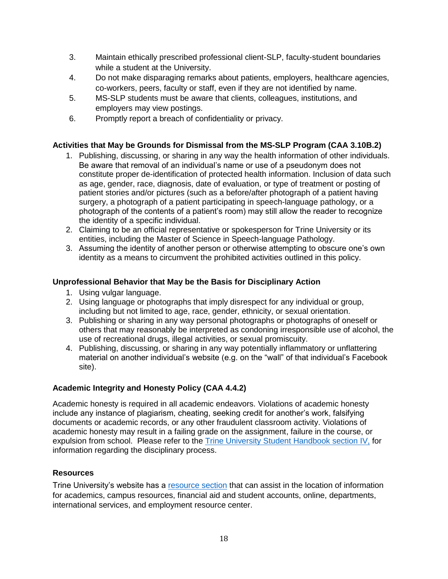- 3. Maintain ethically prescribed professional client-SLP, faculty-student boundaries while a student at the University.
- 4. Do not make disparaging remarks about patients, employers, healthcare agencies, co-workers, peers, faculty or staff, even if they are not identified by name.
- 5. MS-SLP students must be aware that clients, colleagues, institutions, and employers may view postings.
- 6. Promptly report a breach of confidentiality or privacy.

#### <span id="page-20-0"></span>**Activities that May be Grounds for Dismissal from the MS-SLP Program (CAA 3.10B.2)**

- 1. Publishing, discussing, or sharing in any way the health information of other individuals. Be aware that removal of an individual's name or use of a pseudonym does not constitute proper de-identification of protected health information. Inclusion of data such as age, gender, race, diagnosis, date of evaluation, or type of treatment or posting of patient stories and/or pictures (such as a before/after photograph of a patient having surgery, a photograph of a patient participating in speech-language pathology, or a photograph of the contents of a patient's room) may still allow the reader to recognize the identity of a specific individual.
- 2. Claiming to be an official representative or spokesperson for Trine University or its entities, including the Master of Science in Speech-language Pathology.
- 3. Assuming the identity of another person or otherwise attempting to obscure one's own identity as a means to circumvent the prohibited activities outlined in this policy.

#### <span id="page-20-1"></span>**Unprofessional Behavior that May be the Basis for Disciplinary Action**

- 1. Using vulgar language.
- 2. Using language or photographs that imply disrespect for any individual or group, including but not limited to age, race, gender, ethnicity, or sexual orientation.
- 3. Publishing or sharing in any way personal photographs or photographs of oneself or others that may reasonably be interpreted as condoning irresponsible use of alcohol, the use of recreational drugs, illegal activities, or sexual promiscuity.
- 4. Publishing, discussing, or sharing in any way potentially inflammatory or unflattering material on another individual's website (e.g. on the "wall" of that individual's Facebook site).

#### **Academic Integrity and Honesty Policy (CAA 4.4.2)**

Academic honesty is required in all academic endeavors. Violations of academic honesty include any instance of plagiarism, cheating, seeking credit for another's work, falsifying documents or academic records, or any other fraudulent classroom activity. Violations of academic honesty may result in a failing grade on the assignment, failure in the course, or expulsion from school. Please refer to the [Trine University Student Handbook](https://trine.edu/campus-life/documents/trinestudenthandbook_2021_2.pdf) section IV, for information regarding the disciplinary process.

#### **Resources**

Trine University's website has a [resource section](https://trine.edu/resources/index.aspx) that can assist in the location of information for academics, campus resources, financial aid and student accounts, online, departments, international services, and employment resource center.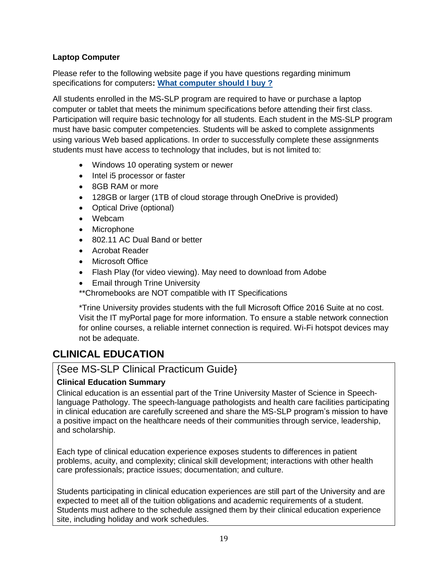#### **Laptop Computer**

Please refer to the following website page if you have questions regarding minimum specifications for computers**: [What computer should I buy](https://services.trine.edu/support/solutions/articles/11000043124-trineonline-orientation-resources#delldiscounts) ?**

All students enrolled in the MS-SLP program are required to have or purchase a laptop computer or tablet that meets the minimum specifications before attending their first class. Participation will require basic technology for all students. Each student in the MS-SLP program must have basic computer competencies. Students will be asked to complete assignments using various Web based applications. In order to successfully complete these assignments students must have access to technology that includes, but is not limited to:

- Windows 10 operating system or newer
- Intel i5 processor or faster
- 8GB RAM or more
- 128GB or larger (1TB of cloud storage through OneDrive is provided)
- Optical Drive (optional)
- Webcam
- Microphone
- 802.11 AC Dual Band or better
- Acrobat Reader
- Microsoft Office
- Flash Play (for video viewing). May need to download from Adobe
- Email through Trine University

\*\*Chromebooks are NOT compatible with IT Specifications

\*Trine University provides students with the full Microsoft Office 2016 Suite at no cost. Visit the IT myPortal page for more information. To ensure a stable network connection for online courses, a reliable internet connection is required. Wi-Fi hotspot devices may not be adequate.

# <span id="page-21-0"></span>**CLINICAL EDUCATION**

{See MS-SLP Clinical Practicum Guide}

#### <span id="page-21-1"></span>**Clinical Education Summary**

Clinical education is an essential part of the Trine University Master of Science in Speechlanguage Pathology. The speech-language pathologists and health care facilities participating in clinical education are carefully screened and share the MS-SLP program's mission to have a positive impact on the healthcare needs of their communities through service, leadership, and scholarship.

Each type of clinical education experience exposes students to differences in patient problems, acuity, and complexity; clinical skill development; interactions with other health care professionals; practice issues; documentation; and culture.

Students participating in clinical education experiences are still part of the University and are expected to meet all of the tuition obligations and academic requirements of a student. Students must adhere to the schedule assigned them by their clinical education experience site, including holiday and work schedules.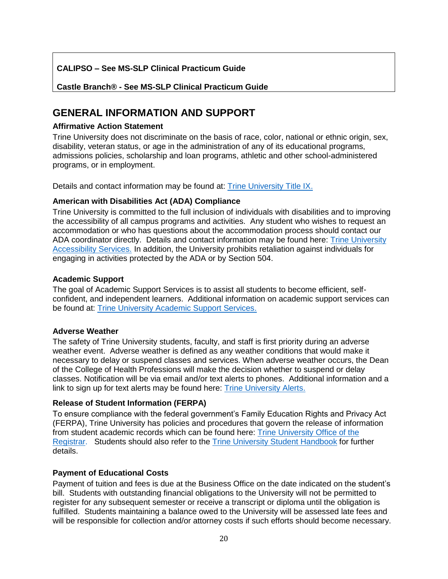#### **CALIPSO – See MS-SLP Clinical Practicum Guide**

**Castle Branch® - See MS-SLP Clinical Practicum Guide**

# <span id="page-22-0"></span>**GENERAL INFORMATION AND SUPPORT**

#### <span id="page-22-1"></span>**Affirmative Action Statement**

Trine University does not discriminate on the basis of race, color, national or ethnic origin, sex, disability, veteran status, or age in the administration of any of its educational programs, admissions policies, scholarship and loan programs, athletic and other school-administered programs, or in employment.

Details and contact information may be found at: [Trine University Title IX.](https://www.trine.edu/about/titleix/index.aspx)

#### <span id="page-22-2"></span>**American with Disabilities Act (ADA) Compliance**

Trine University is committed to the full inclusion of individuals with disabilities and to improving the accessibility of all campus programs and activities. Any student who wishes to request an accommodation or who has questions about the accommodation process should contact our ADA coordinator directly. Details and contact information may be found here: [Trine University](https://www.trine.edu/campus-life/health-wellness/disability-services.aspx)  [Accessibility Services.](https://www.trine.edu/campus-life/health-wellness/disability-services.aspx) In addition, the University prohibits retaliation against individuals for engaging in activities protected by the ADA or by Section 504.

#### <span id="page-22-3"></span>**Academic Support**

The goal of Academic Support Services is to assist all students to become efficient, selfconfident, and independent learners. Additional information on academic support services can be found at: [Trine University Academic Support Services.](https://www.trine.edu/academics/success/disability-accommodations.aspx)

#### <span id="page-22-4"></span>**Adverse Weather**

The safety of Trine University students, faculty, and staff is first priority during an adverse weather event. Adverse weather is defined as any weather conditions that would make it necessary to delay or suspend classes and services. When adverse weather occurs, the Dean of the College of Health Professions will make the decision whether to suspend or delay classes. Notification will be via email and/or text alerts to phones. Additional information and a link to sign up for text alerts may be found here: [Trine University Alerts.](https://trine.edu/alerts/)

#### <span id="page-22-5"></span>**Release of Student Information (FERPA)**

To ensure compliance with the federal government's Family Education Rights and Privacy Act (FERPA), Trine University has policies and procedures that govern the release of information from student academic records which can be found here: [Trine University Office of the](https://www.trine.edu/resources/registrar/index.aspx/ferpa.aspx)  [Registrar.](https://www.trine.edu/resources/registrar/index.aspx/ferpa.aspx) Students should also refer to the [Trine University Student Handbook](https://trine.edu/campus-life/documents/trinestudenthandbook_2021_2.pdf) for further details.

#### <span id="page-22-6"></span>**Payment of Educational Costs**

Payment of tuition and fees is due at the Business Office on the date indicated on the student's bill. Students with outstanding financial obligations to the University will not be permitted to register for any subsequent semester or receive a transcript or diploma until the obligation is fulfilled. Students maintaining a balance owed to the University will be assessed late fees and will be responsible for collection and/or attorney costs if such efforts should become necessary.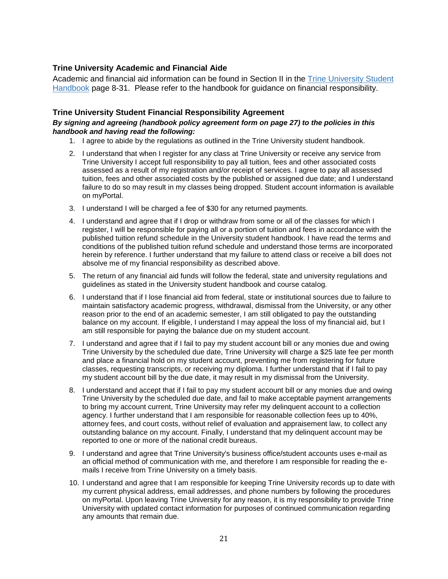#### <span id="page-23-0"></span>**Trine University Academic and Financial Aide**

Academic and financial aid information can be found in Section II in the [Trine University Student](https://trine.edu/campus-life/documents/trinestudenthandbook_2021_2.pdf)  [Handbook](https://trine.edu/campus-life/documents/trinestudenthandbook_2021_2.pdf) page 8-31. Please refer to the handbook for guidance on financial responsibility.

#### <span id="page-23-1"></span>**Trine University Student Financial Responsibility Agreement**

#### *By signing and agreeing (handbook policy agreement form on page 27) to the policies in this handbook and having read the following:*

- 1. I agree to abide by the regulations as outlined in the Trine University student handbook.
- 2. I understand that when I register for any class at Trine University or receive any service from Trine University I accept full responsibility to pay all tuition, fees and other associated costs assessed as a result of my registration and/or receipt of services. I agree to pay all assessed tuition, fees and other associated costs by the published or assigned due date; and I understand failure to do so may result in my classes being dropped. Student account information is available on myPortal.
- 3. I understand I will be charged a fee of \$30 for any returned payments.
- 4. I understand and agree that if I drop or withdraw from some or all of the classes for which I register, I will be responsible for paying all or a portion of tuition and fees in accordance with the published tuition refund schedule in the University student handbook. I have read the terms and conditions of the published tuition refund schedule and understand those terms are incorporated herein by reference. I further understand that my failure to attend class or receive a bill does not absolve me of my financial responsibility as described above.
- 5. The return of any financial aid funds will follow the federal, state and university regulations and guidelines as stated in the University student handbook and course catalog.
- 6. I understand that if I lose financial aid from federal, state or institutional sources due to failure to maintain satisfactory academic progress, withdrawal, dismissal from the University, or any other reason prior to the end of an academic semester, I am still obligated to pay the outstanding balance on my account. If eligible, I understand I may appeal the loss of my financial aid, but I am still responsible for paying the balance due on my student account.
- 7. I understand and agree that if I fail to pay my student account bill or any monies due and owing Trine University by the scheduled due date, Trine University will charge a \$25 late fee per month and place a financial hold on my student account, preventing me from registering for future classes, requesting transcripts, or receiving my diploma. I further understand that if I fail to pay my student account bill by the due date, it may result in my dismissal from the University.
- 8. I understand and accept that if I fail to pay my student account bill or any monies due and owing Trine University by the scheduled due date, and fail to make acceptable payment arrangements to bring my account current, Trine University may refer my delinquent account to a collection agency. I further understand that I am responsible for reasonable collection fees up to 40%, attorney fees, and court costs, without relief of evaluation and appraisement law, to collect any outstanding balance on my account. Finally, I understand that my delinquent account may be reported to one or more of the national credit bureaus.
- 9. I understand and agree that Trine University's business office/student accounts uses e-mail as an official method of communication with me, and therefore I am responsible for reading the emails I receive from Trine University on a timely basis.
- 10. I understand and agree that I am responsible for keeping Trine University records up to date with my current physical address, email addresses, and phone numbers by following the procedures on myPortal. Upon leaving Trine University for any reason, it is my responsibility to provide Trine University with updated contact information for purposes of continued communication regarding any amounts that remain due.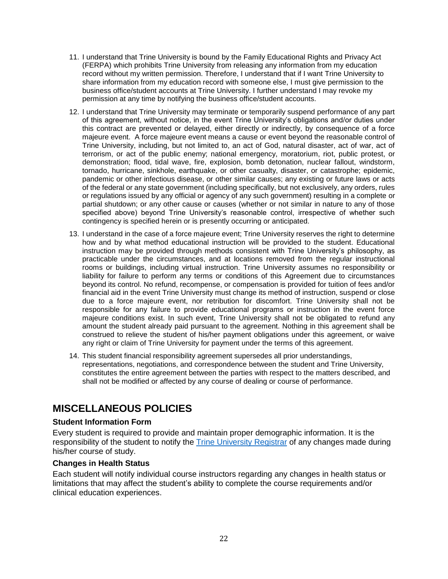- 11. I understand that Trine University is bound by the Family Educational Rights and Privacy Act (FERPA) which prohibits Trine University from releasing any information from my education record without my written permission. Therefore, I understand that if I want Trine University to share information from my education record with someone else, I must give permission to the business office/student accounts at Trine University. I further understand I may revoke my permission at any time by notifying the business office/student accounts.
- 12. I understand that Trine University may terminate or temporarily suspend performance of any part of this agreement, without notice, in the event Trine University's obligations and/or duties under this contract are prevented or delayed, either directly or indirectly, by consequence of a force majeure event. A force majeure event means a cause or event beyond the reasonable control of Trine University, including, but not limited to, an act of God, natural disaster, act of war, act of terrorism, or act of the public enemy; national emergency, moratorium, riot, public protest, or demonstration; flood, tidal wave, fire, explosion, bomb detonation, nuclear fallout, windstorm, tornado, hurricane, sinkhole, earthquake, or other casualty, disaster, or catastrophe; epidemic, pandemic or other infectious disease, or other similar causes; any existing or future laws or acts of the federal or any state government (including specifically, but not exclusively, any orders, rules or regulations issued by any official or agency of any such government) resulting in a complete or partial shutdown; or any other cause or causes (whether or not similar in nature to any of those specified above) beyond Trine University's reasonable control, irrespective of whether such contingency is specified herein or is presently occurring or anticipated.
- 13. I understand in the case of a force majeure event; Trine University reserves the right to determine how and by what method educational instruction will be provided to the student. Educational instruction may be provided through methods consistent with Trine University's philosophy, as practicable under the circumstances, and at locations removed from the regular instructional rooms or buildings, including virtual instruction. Trine University assumes no responsibility or liability for failure to perform any terms or conditions of this Agreement due to circumstances beyond its control. No refund, recompense, or compensation is provided for tuition of fees and/or financial aid in the event Trine University must change its method of instruction, suspend or close due to a force majeure event, nor retribution for discomfort. Trine University shall not be responsible for any failure to provide educational programs or instruction in the event force majeure conditions exist. In such event, Trine University shall not be obligated to refund any amount the student already paid pursuant to the agreement. Nothing in this agreement shall be construed to relieve the student of his/her payment obligations under this agreement, or waive any right or claim of Trine University for payment under the terms of this agreement.
- 14. This student financial responsibility agreement supersedes all prior understandings, representations, negotiations, and correspondence between the student and Trine University, constitutes the entire agreement between the parties with respect to the matters described, and shall not be modified or affected by any course of dealing or course of performance.

# <span id="page-24-0"></span>**MISCELLANEOUS POLICIES**

#### <span id="page-24-1"></span>**Student Information Form**

Every student is required to provide and maintain proper demographic information. It is the responsibility of the student to notify the [Trine University Registrar](https://trine.edu/resources/registrar/contact-us.aspx) of any changes made during his/her course of study.

#### <span id="page-24-2"></span>**Changes in Health Status**

Each student will notify individual course instructors regarding any changes in health status or limitations that may affect the student's ability to complete the course requirements and/or clinical education experiences.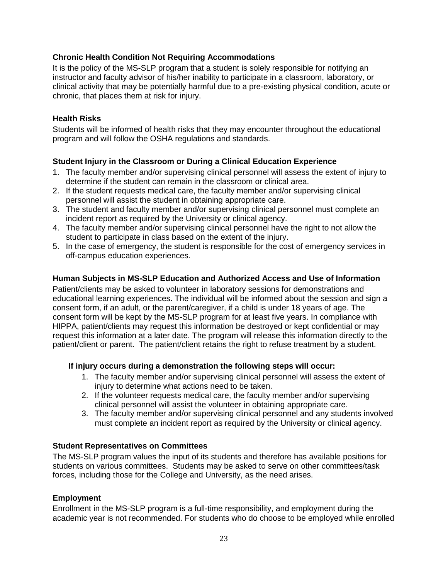#### <span id="page-25-0"></span>**Chronic Health Condition Not Requiring Accommodations**

It is the policy of the MS-SLP program that a student is solely responsible for notifying an instructor and faculty advisor of his/her inability to participate in a classroom, laboratory, or clinical activity that may be potentially harmful due to a pre-existing physical condition, acute or chronic, that places them at risk for injury.

#### <span id="page-25-1"></span>**Health Risks**

Students will be informed of health risks that they may encounter throughout the educational program and will follow the OSHA regulations and standards.

#### <span id="page-25-2"></span>**Student Injury in the Classroom or During a Clinical Education Experience**

- 1. The faculty member and/or supervising clinical personnel will assess the extent of injury to determine if the student can remain in the classroom or clinical area.
- 2. If the student requests medical care, the faculty member and/or supervising clinical personnel will assist the student in obtaining appropriate care.
- 3. The student and faculty member and/or supervising clinical personnel must complete an incident report as required by the University or clinical agency.
- 4. The faculty member and/or supervising clinical personnel have the right to not allow the student to participate in class based on the extent of the injury.
- 5. In the case of emergency, the student is responsible for the cost of emergency services in off-campus education experiences.

#### <span id="page-25-3"></span>**Human Subjects in MS-SLP Education and Authorized Access and Use of Information**

Patient/clients may be asked to volunteer in laboratory sessions for demonstrations and educational learning experiences. The individual will be informed about the session and sign a consent form, if an adult, or the parent/caregiver, if a child is under 18 years of age. The consent form will be kept by the MS-SLP program for at least five years. In compliance with HIPPA, patient/clients may request this information be destroyed or kept confidential or may request this information at a later date. The program will release this information directly to the patient/client or parent. The patient/client retains the right to refuse treatment by a student.

#### **If injury occurs during a demonstration the following steps will occur:**

- 1. The faculty member and/or supervising clinical personnel will assess the extent of injury to determine what actions need to be taken.
- 2. If the volunteer requests medical care, the faculty member and/or supervising clinical personnel will assist the volunteer in obtaining appropriate care.
- 3. The faculty member and/or supervising clinical personnel and any students involved must complete an incident report as required by the University or clinical agency.

#### <span id="page-25-4"></span>**Student Representatives on Committees**

The MS-SLP program values the input of its students and therefore has available positions for students on various committees. Students may be asked to serve on other committees/task forces, including those for the College and University, as the need arises.

#### <span id="page-25-5"></span>**Employment**

Enrollment in the MS-SLP program is a full-time responsibility, and employment during the academic year is not recommended. For students who do choose to be employed while enrolled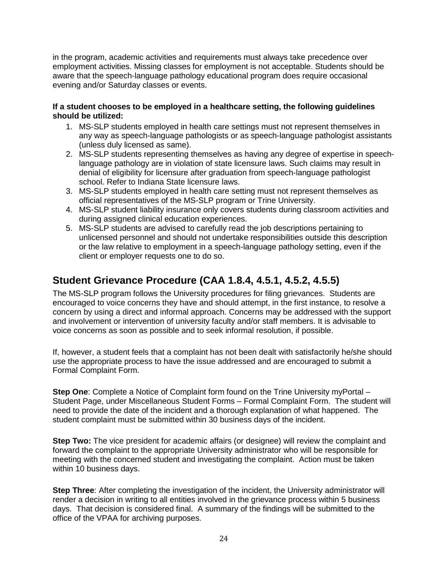in the program, academic activities and requirements must always take precedence over employment activities. Missing classes for employment is not acceptable. Students should be aware that the speech-language pathology educational program does require occasional evening and/or Saturday classes or events.

#### **If a student chooses to be employed in a healthcare setting, the following guidelines should be utilized:**

- 1. MS-SLP students employed in health care settings must not represent themselves in any way as speech-language pathologists or as speech-language pathologist assistants (unless duly licensed as same).
- 2. MS-SLP students representing themselves as having any degree of expertise in speechlanguage pathology are in violation of state licensure laws. Such claims may result in denial of eligibility for licensure after graduation from speech-language pathologist school. Refer to Indiana State licensure laws.
- 3. MS-SLP students employed in health care setting must not represent themselves as official representatives of the MS-SLP program or Trine University.
- 4. MS-SLP student liability insurance only covers students during classroom activities and during assigned clinical education experiences.
- 5. MS-SLP students are advised to carefully read the job descriptions pertaining to unlicensed personnel and should not undertake responsibilities outside this description or the law relative to employment in a speech-language pathology setting, even if the client or employer requests one to do so.

# <span id="page-26-0"></span>**Student Grievance Procedure (CAA 1.8.4, 4.5.1, 4.5.2, 4.5.5)**

The MS-SLP program follows the University procedures for filing grievances. Students are encouraged to voice concerns they have and should attempt, in the first instance, to resolve a concern by using a direct and informal approach. Concerns may be addressed with the support and involvement or intervention of university faculty and/or staff members. It is advisable to voice concerns as soon as possible and to seek informal resolution, if possible.

If, however, a student feels that a complaint has not been dealt with satisfactorily he/she should use the appropriate process to have the issue addressed and are encouraged to submit a Formal Complaint Form.

**Step One**: Complete a Notice of Complaint form found on the Trine University myPortal – Student Page, under Miscellaneous Student Forms – Formal Complaint Form. The student will need to provide the date of the incident and a thorough explanation of what happened. The student complaint must be submitted within 30 business days of the incident.

**Step Two:** The vice president for academic affairs (or designee) will review the complaint and forward the complaint to the appropriate University administrator who will be responsible for meeting with the concerned student and investigating the complaint. Action must be taken within 10 business days.

**Step Three**: After completing the investigation of the incident, the University administrator will render a decision in writing to all entities involved in the grievance process within 5 business days. That decision is considered final. A summary of the findings will be submitted to the office of the VPAA for archiving purposes.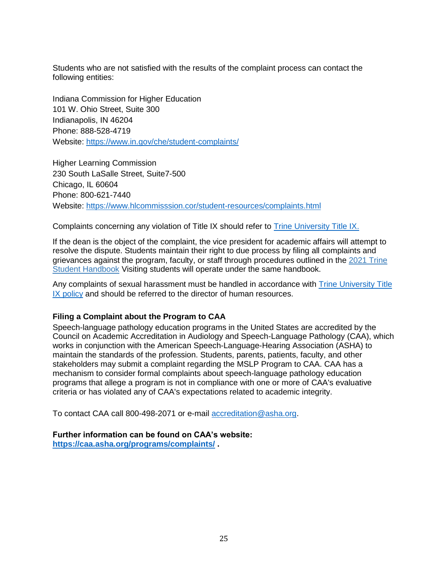Students who are not satisfied with the results of the complaint process can contact the following entities:

Indiana Commission for Higher Education 101 W. Ohio Street, Suite 300 Indianapolis, IN 46204 Phone: 888-528-4719 Website:<https://www.in.gov/che/student-complaints/>

Higher Learning Commission 230 South LaSalle Street, Suite7-500 Chicago, IL 60604 Phone: 800-621-7440 Website:<https://www.hlcommisssion.cor/student-resources/complaints.html>

Complaints concerning any violation of Title IX should refer to [Trine University Title IX.](https://trine.edu/about/titleix/index.aspx)

If the dean is the object of the complaint, the vice president for academic affairs will attempt to resolve the dispute. Students maintain their right to due process by filing all complaints and grievances against the program, faculty, or staff through procedures outlined in the [2021 Trine](https://www.trine.edu/campus-life/documents/revised-2020-2021-student-handbook_1-2021.pdf)  [Student Handbook](https://www.trine.edu/campus-life/documents/revised-2020-2021-student-handbook_1-2021.pdf) Visiting students will operate under the same handbook.

Any complaints of sexual harassment must be handled in accordance with **Trine University Title** [IX policy](https://trine.edu/about/titleix/index.aspx) and should be referred to the director of human resources.

#### <span id="page-27-0"></span>**Filing a Complaint about the Program to CAA**

Speech-language pathology education programs in the United States are accredited by the Council on Academic Accreditation in Audiology and Speech-Language Pathology (CAA), which works in conjunction with the American Speech-Language-Hearing Association (ASHA) to maintain the standards of the profession. Students, parents, patients, faculty, and other stakeholders may submit a complaint regarding the MSLP Program to CAA. CAA has a mechanism to consider formal complaints about speech-language pathology education programs that allege a program is not in compliance with one or more of [CAA's evaluative](http://www.capteonline.org/uploadedFiles/CAPTEorg/About_CAPTE/Resources/Accreditation_Handbook/EvaluativeCriteria_PT.pdf)  [criteria](http://www.capteonline.org/uploadedFiles/CAPTEorg/About_CAPTE/Resources/Accreditation_Handbook/EvaluativeCriteria_PT.pdf) or has violated any of CAA's expectations related to academic integrity.

To contact CAA call 800-498-2071 or e-mail [accreditation@asha.org.](mailto:accreditation@asha.org)

<span id="page-27-1"></span>**Further information can be found on CAA's website: <https://caa.asha.org/programs/complaints/> .**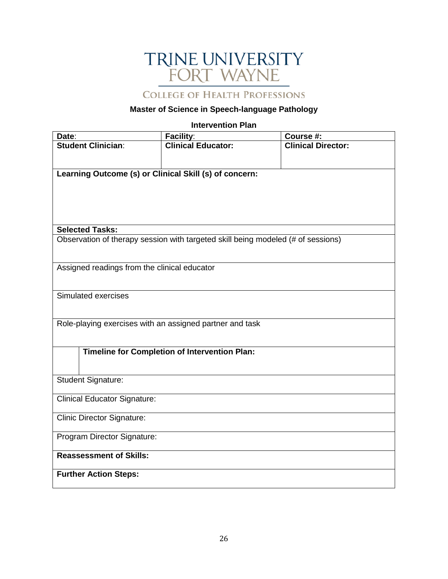# TRINE UNIVERSITY<br>FORT WAYNE

**COLLEGE OF HEALTH PROFESSIONS** 

#### **Master of Science in Speech-language Pathology**

#### **Intervention Plan**

| Date:                                                    | Facility:                                                                        | Course #:                 |
|----------------------------------------------------------|----------------------------------------------------------------------------------|---------------------------|
| <b>Student Clinician:</b>                                | <b>Clinical Educator:</b>                                                        | <b>Clinical Director:</b> |
|                                                          |                                                                                  |                           |
| Learning Outcome (s) or Clinical Skill (s) of concern:   |                                                                                  |                           |
|                                                          |                                                                                  |                           |
|                                                          |                                                                                  |                           |
|                                                          |                                                                                  |                           |
| <b>Selected Tasks:</b>                                   |                                                                                  |                           |
|                                                          | Observation of therapy session with targeted skill being modeled (# of sessions) |                           |
|                                                          |                                                                                  |                           |
| Assigned readings from the clinical educator             |                                                                                  |                           |
|                                                          |                                                                                  |                           |
| Simulated exercises                                      |                                                                                  |                           |
|                                                          |                                                                                  |                           |
|                                                          |                                                                                  |                           |
| Role-playing exercises with an assigned partner and task |                                                                                  |                           |
|                                                          |                                                                                  |                           |
|                                                          | <b>Timeline for Completion of Intervention Plan:</b>                             |                           |
|                                                          |                                                                                  |                           |
| <b>Student Signature:</b>                                |                                                                                  |                           |
| <b>Clinical Educator Signature:</b>                      |                                                                                  |                           |
|                                                          |                                                                                  |                           |
| <b>Clinic Director Signature:</b>                        |                                                                                  |                           |
| Program Director Signature:                              |                                                                                  |                           |
|                                                          |                                                                                  |                           |
| <b>Reassessment of Skills:</b>                           |                                                                                  |                           |
| <b>Further Action Steps:</b>                             |                                                                                  |                           |
|                                                          |                                                                                  |                           |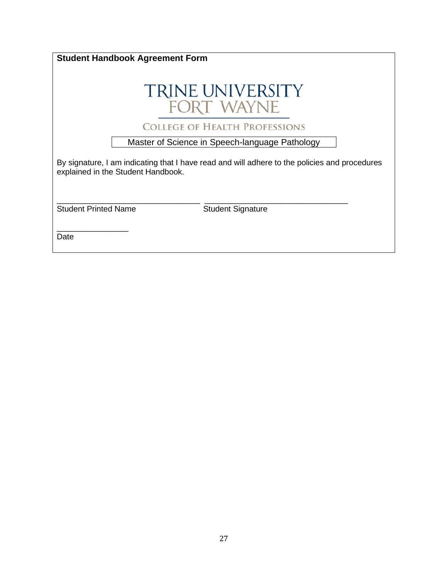| <b>Student Handbook Agreement Form</b>                                                                                              |                                                |  |
|-------------------------------------------------------------------------------------------------------------------------------------|------------------------------------------------|--|
|                                                                                                                                     | <b>TRINE UNIVERSITY</b><br>FORT WAYNE          |  |
|                                                                                                                                     | <b>COLLEGE OF HEALTH PROFESSIONS</b>           |  |
|                                                                                                                                     | Master of Science in Speech-language Pathology |  |
| By signature, I am indicating that I have read and will adhere to the policies and procedures<br>explained in the Student Handbook. |                                                |  |
|                                                                                                                                     |                                                |  |
| <b>Student Printed Name</b>                                                                                                         | <b>Student Signature</b>                       |  |
| Date                                                                                                                                |                                                |  |